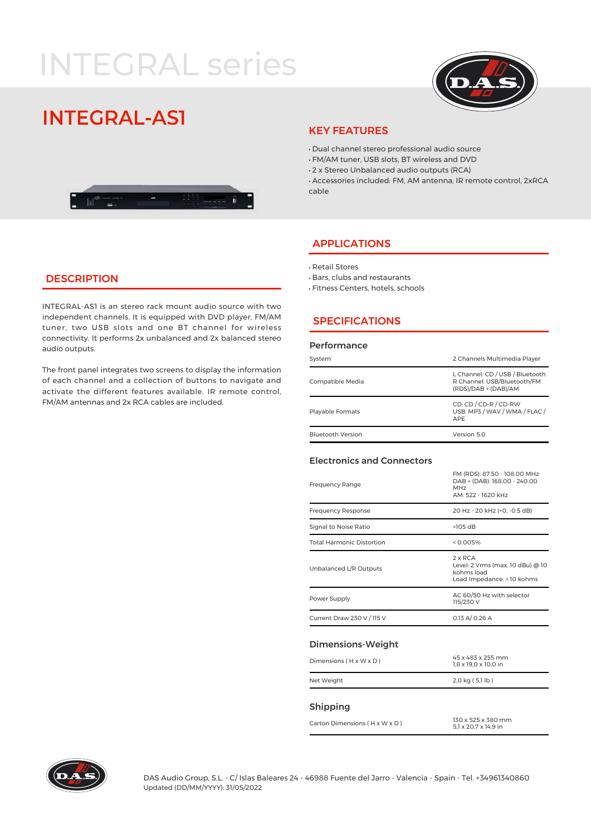# **INTEGRAL series**



## **INTEGRAL-AST**



#### KEY FEATURES

- · Dual channel stereo professional audio source
- · FM/AM tuner, USB slots, BT wireless and DVD
- · 2 x Stereo Unbalanced audio outputs (RCA)

· Accessories included: FM, AM antenna, IR remote control, 2xRCA cable

#### APPLICATIONS

- · Retail Stores
- · Bars, clubs and restaurants
- · Fitness Centers, hotels, schools

### **DESCRIPTION**

INTEGRAL-AS1 is an stereo rack mount audio source with two independent channels. It is equipped with DVD player, FM/AM tuner, two USB slots and one BT channel for wireless connectivity. It performs 2x unbalanced and 2x balanced stereo audio outputs.

The front panel integrates two screens to display the information of each channel and a collection of buttons to navigate and activate the different features available. IR remote control, FM/AM antennas and 2x RCA cables are included.

#### **SPECIFICATIONS**

#### Performance

| System                   | 2 Channels Multimedia Player                                                           |  |  |
|--------------------------|----------------------------------------------------------------------------------------|--|--|
| Compatible Media         | L Channel: CD / USB / Bluetooth<br>R Channel: USB/Bluetooth/FM<br>(RDS)/DAB + (DAB)/AM |  |  |
| Playable Formats         | CD: CD / CD-R / CD-RW<br>USB: MP3 / WAV / WMA / FLAC /<br>APE                          |  |  |
| <b>Bluetooth Version</b> | Version 5.0                                                                            |  |  |

#### Electronics and Connectors

| <b>Frequency Range</b>     | FM (RDS): 87.50 - 108.00 MHz<br>DAB + (DAB): 168.00 - 240.00<br><b>MHz</b><br>AM: 522 - 1620 kHz |
|----------------------------|--------------------------------------------------------------------------------------------------|
| <b>Frequency Response</b>  | 20 Hz - 20 kHz (+0, -0.5 dB)                                                                     |
| Signal to Noise Ratio      | $>105$ dB                                                                                        |
| Total Harmonic Distortion  | < 0.005%                                                                                         |
| Unbalanced L/R Outputs     | $2 \times RCA$<br>Level: 2 Vrms (max. 10 dBu) @ 10<br>kohms load<br>Load Impedance: > 10 kohms   |
| Power Supply               | AC 60/50 Hz with selector<br>115/230 V                                                           |
| Current Draw 230 V / 115 V | 0.13 A / 0.26 A                                                                                  |
|                            |                                                                                                  |

#### Dimensions-Weight

| $Dimensions$ ( $H \times W \times D$ ) | 45 x 483 x 255 mm<br>$1.8 \times 19.0 \times 10.0$ in |  |
|----------------------------------------|-------------------------------------------------------|--|
| Net Weight                             | 2,0 kg (5,1 lb)                                       |  |

#### Shipping

Carton Dimensions ( $H \times W \times D$ )<br>  $F1 \times 20.7 \times 16.9$  in

5,1 x 20,7 x 14,9 in